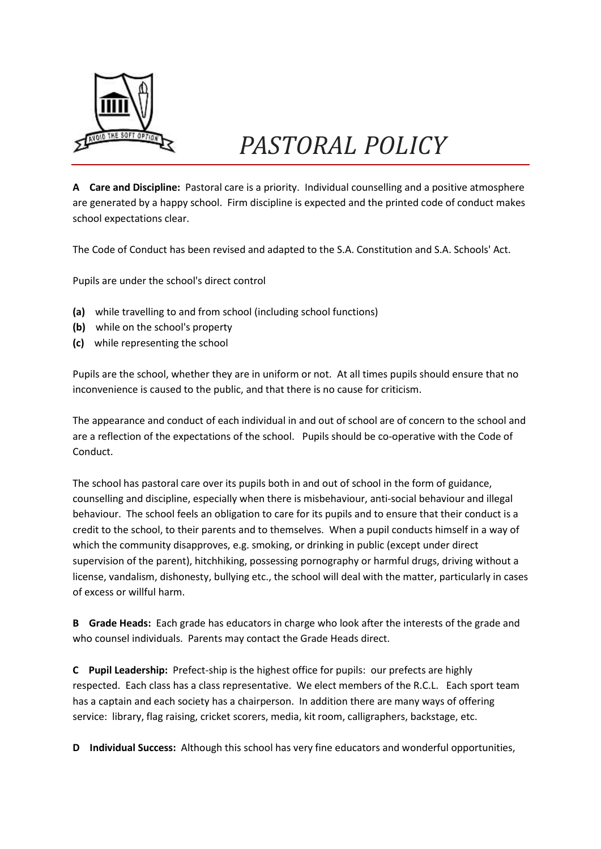

## *PASTORAL POLICY*

**A Care and Discipline:** Pastoral care is a priority. Individual counselling and a positive atmosphere are generated by a happy school. Firm discipline is expected and the printed code of conduct makes school expectations clear.

The Code of Conduct has been revised and adapted to the S.A. Constitution and S.A. Schools' Act.

Pupils are under the school's direct control

- **(a)** while travelling to and from school (including school functions)
- **(b)** while on the school's property
- **(c)** while representing the school

Pupils are the school, whether they are in uniform or not. At all times pupils should ensure that no inconvenience is caused to the public, and that there is no cause for criticism.

The appearance and conduct of each individual in and out of school are of concern to the school and are a reflection of the expectations of the school. Pupils should be co-operative with the Code of Conduct.

The school has pastoral care over its pupils both in and out of school in the form of guidance, counselling and discipline, especially when there is misbehaviour, anti-social behaviour and illegal behaviour. The school feels an obligation to care for its pupils and to ensure that their conduct is a credit to the school, to their parents and to themselves. When a pupil conducts himself in a way of which the community disapproves, e.g. smoking, or drinking in public (except under direct supervision of the parent), hitchhiking, possessing pornography or harmful drugs, driving without a license, vandalism, dishonesty, bullying etc., the school will deal with the matter, particularly in cases of excess or willful harm.

**B Grade Heads:** Each grade has educators in charge who look after the interests of the grade and who counsel individuals. Parents may contact the Grade Heads direct.

**C Pupil Leadership:** Prefect-ship is the highest office for pupils: our prefects are highly respected. Each class has a class representative. We elect members of the R.C.L. Each sport team has a captain and each society has a chairperson. In addition there are many ways of offering service: library, flag raising, cricket scorers, media, kit room, calligraphers, backstage, etc.

**D Individual Success:** Although this school has very fine educators and wonderful opportunities,